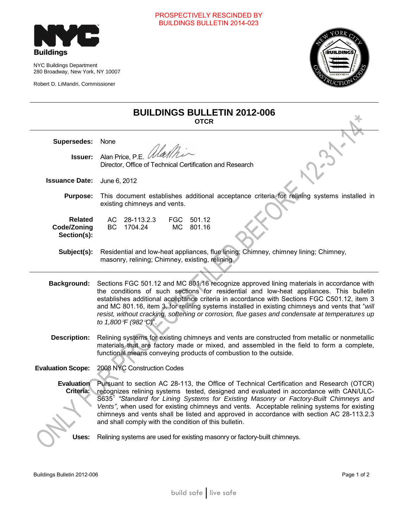# PROSPECTIVELY RESCINDED BY BUILDINGS BULLETIN 2014-023



NYC Buildings Department 280 Broadway, New York, NY 10007

Robert D. LiMandri, Commissioner



| <b>BUILDINGS BULLETIN 2012-006</b><br><b>OTCR</b> |                                                                                                                                                                                                                                                                                                                                                                                                                                                                                                                                             |
|---------------------------------------------------|---------------------------------------------------------------------------------------------------------------------------------------------------------------------------------------------------------------------------------------------------------------------------------------------------------------------------------------------------------------------------------------------------------------------------------------------------------------------------------------------------------------------------------------------|
| Supersedes:                                       | None                                                                                                                                                                                                                                                                                                                                                                                                                                                                                                                                        |
| <b>Issuer:</b>                                    | Alan Price, P.E. <i>Wallh</i><br>Director, Office of Technical Certification and Research                                                                                                                                                                                                                                                                                                                                                                                                                                                   |
| <b>Issuance Date:</b>                             | June 6, 2012                                                                                                                                                                                                                                                                                                                                                                                                                                                                                                                                |
| <b>Purpose:</b>                                   | This document establishes additional acceptance criteria for relining systems installed in<br>existing chimneys and vents.                                                                                                                                                                                                                                                                                                                                                                                                                  |
| <b>Related</b><br>Code/Zoning<br>Section(s):      | 28-113.2.3<br>FGC 501.12<br>AC<br><b>BC</b><br>1704.24<br><b>MC</b><br>801.16                                                                                                                                                                                                                                                                                                                                                                                                                                                               |
| Subject(s):                                       | Residential and low-heat appliances, flue lining; Chimney, chimney lining; Chimney,<br>masonry, relining; Chimney, existing, relining                                                                                                                                                                                                                                                                                                                                                                                                       |
| <b>Background:</b>                                | Sections FGC 501.12 and MC 801.16 recognize approved lining materials in accordance with<br>the conditions of such sections for residential and low-heat appliances. This bulletin<br>establishes additional acceptance criteria in accordance with Sections FGC C501.12, item 3<br>and MC 801.16, item 3, for relining systems installed in existing chimneys and vents that "will<br>resist, without cracking, softening or corrosion, flue gases and condensate at temperatures up<br>to 1,800°F (982°C)".                               |
| <b>Description:</b>                               | Relining systems for existing chimneys and vents are constructed from metallic or nonmetallic<br>materials that are factory made or mixed, and assembled in the field to form a complete,<br>functional means conveying products of combustion to the outside.                                                                                                                                                                                                                                                                              |
| <b>Evaluation Scope:</b>                          | 2008 NYC Construction Codes                                                                                                                                                                                                                                                                                                                                                                                                                                                                                                                 |
| <b>Evaluation</b><br>Criteria:                    | Pursuant to section AC 28-113, the Office of Technical Certification and Research (OTCR)<br>recognizes relining systems tested, designed and evaluated in accordance with CAN/ULC-<br>S635 <sup>1</sup> "Standard for Lining Systems for Existing Masonry or Factory-Built Chimneys and<br>Vents", when used for existing chimneys and vents. Acceptable relining systems for existing<br>chimneys and vents shall be listed and approved in accordance with section AC 28-113.2.3<br>and shall comply with the condition of this bulletin. |